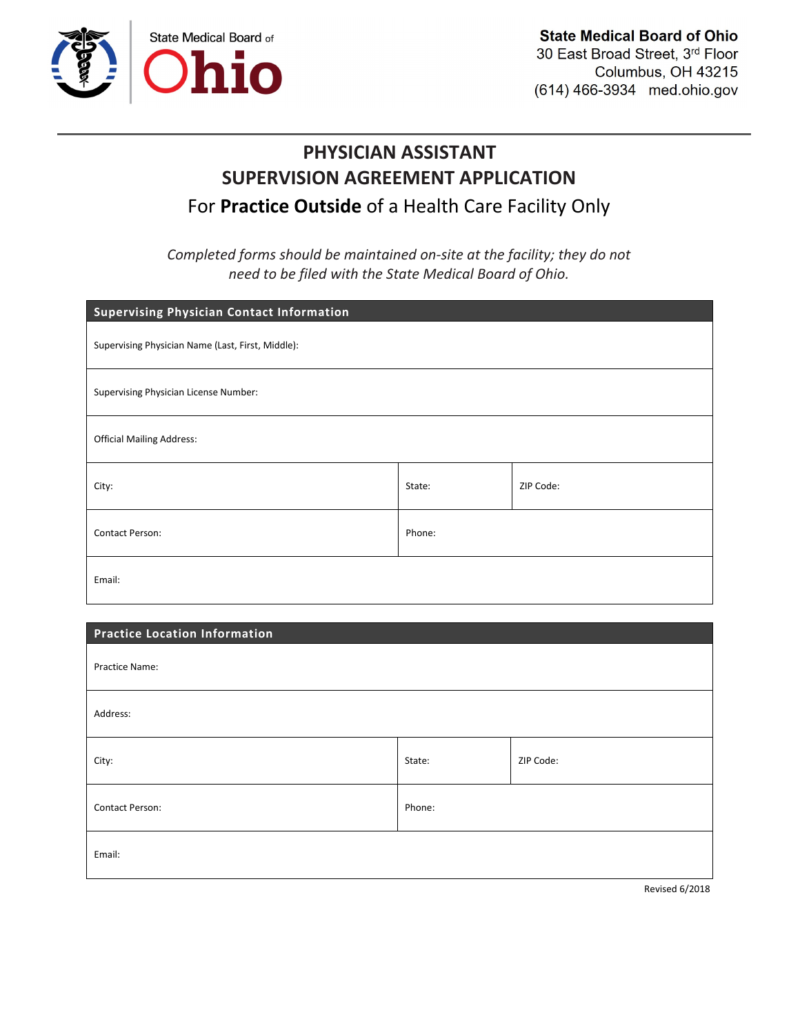

## PHYSICIAN ASSISTANT SUPERVISION AGREEMENT APPLICATION For **Practice Outside** of a Health Care Facility Only

*Completed forms should be maintained on-site at the facility; they do not need to be filed with the State Medical Board of Ohio.*

| <b>Supervising Physician Contact Information</b>  |        |           |
|---------------------------------------------------|--------|-----------|
| Supervising Physician Name (Last, First, Middle): |        |           |
| Supervising Physician License Number:             |        |           |
| <b>Official Mailing Address:</b>                  |        |           |
| City:                                             | State: | ZIP Code: |
| Contact Person:                                   | Phone: |           |
| Email:                                            |        |           |

| Address: |           |  |
|----------|-----------|--|
| State:   | ZIP Code: |  |
| Phone:   |           |  |
|          |           |  |
|          |           |  |

Revised 6/2018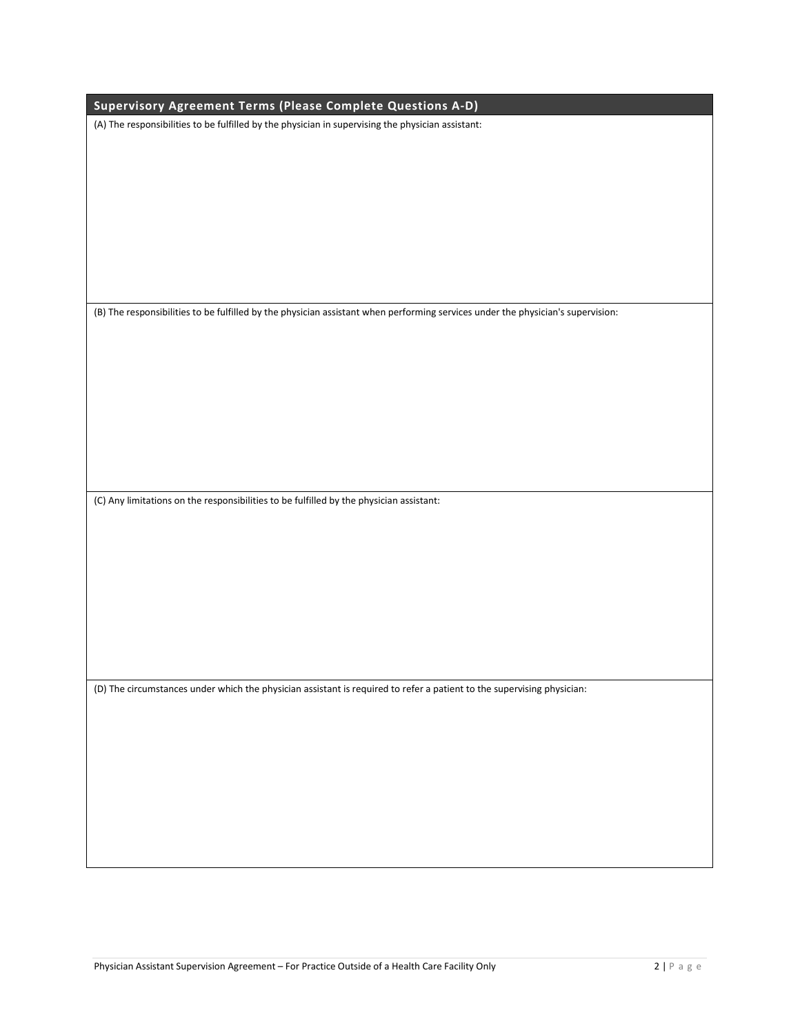| Supervisory Agreement Terms (Please Complete Questions A-D)                                                                     |
|---------------------------------------------------------------------------------------------------------------------------------|
|                                                                                                                                 |
| (A) The responsibilities to be fulfilled by the physician in supervising the physician assistant:                               |
|                                                                                                                                 |
|                                                                                                                                 |
|                                                                                                                                 |
|                                                                                                                                 |
|                                                                                                                                 |
|                                                                                                                                 |
|                                                                                                                                 |
|                                                                                                                                 |
|                                                                                                                                 |
|                                                                                                                                 |
|                                                                                                                                 |
| (B) The responsibilities to be fulfilled by the physician assistant when performing services under the physician's supervision: |
|                                                                                                                                 |
|                                                                                                                                 |
|                                                                                                                                 |
|                                                                                                                                 |
|                                                                                                                                 |
|                                                                                                                                 |
|                                                                                                                                 |
|                                                                                                                                 |
|                                                                                                                                 |
|                                                                                                                                 |
|                                                                                                                                 |
| (C) Any limitations on the responsibilities to be fulfilled by the physician assistant:                                         |
|                                                                                                                                 |
|                                                                                                                                 |
|                                                                                                                                 |
|                                                                                                                                 |
|                                                                                                                                 |
|                                                                                                                                 |
|                                                                                                                                 |
|                                                                                                                                 |
|                                                                                                                                 |
|                                                                                                                                 |
|                                                                                                                                 |
| (D) The circumstances under which the physician assistant is required to refer a patient to the supervising physician:          |
|                                                                                                                                 |
|                                                                                                                                 |
|                                                                                                                                 |
|                                                                                                                                 |
|                                                                                                                                 |
|                                                                                                                                 |
|                                                                                                                                 |
|                                                                                                                                 |
|                                                                                                                                 |
|                                                                                                                                 |
|                                                                                                                                 |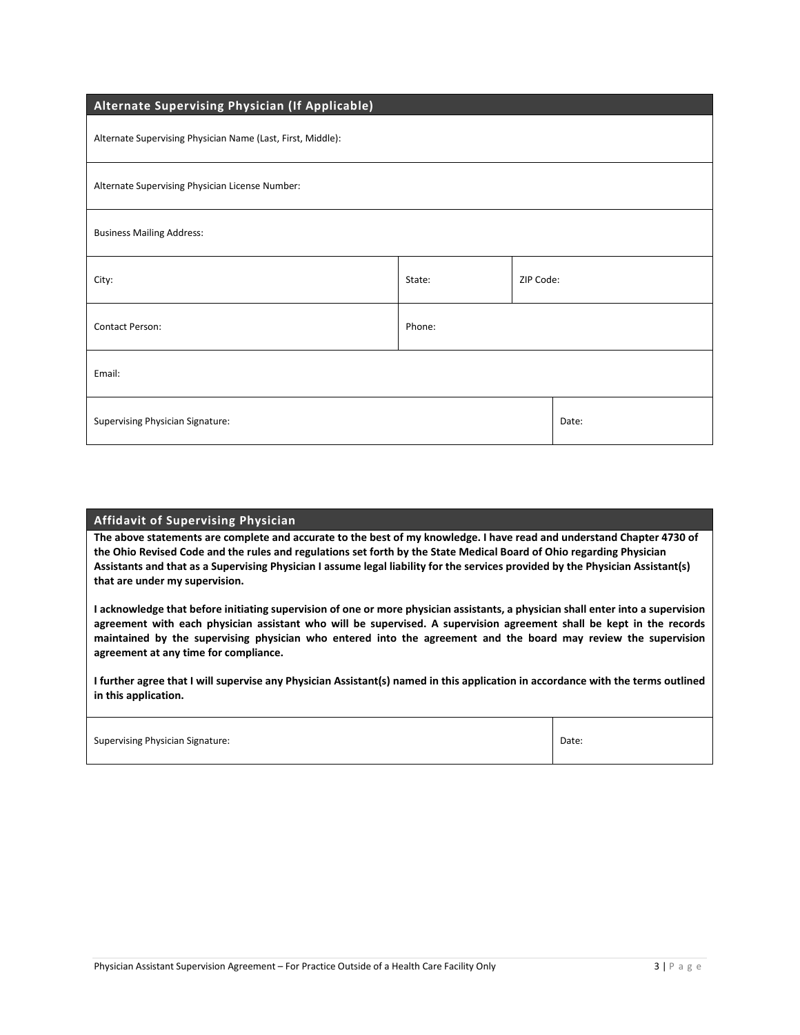| Alternate Supervising Physician (If Applicable)             |        |           |       |
|-------------------------------------------------------------|--------|-----------|-------|
| Alternate Supervising Physician Name (Last, First, Middle): |        |           |       |
| Alternate Supervising Physician License Number:             |        |           |       |
| <b>Business Mailing Address:</b>                            |        |           |       |
| City:                                                       | State: | ZIP Code: |       |
| Contact Person:                                             | Phone: |           |       |
| Email:                                                      |        |           |       |
| Supervising Physician Signature:                            |        |           | Date: |

## Affidavit of Supervising Physician

The above statements are complete and accurate to the best of my knowledge. I have read and understand Chapter 4730 of the Ohio Revised Code and the rules and regulations set forth by the State Medical Board of Ohio regarding Physician Assistants and that as a Supervising Physician I assume legal liability for the services provided by the Physician Assistant(s) that are under my supervision.

I acknowledge that before initiating supervision of one or more physician assistants, a physician shall enter into a supervision agreement with each physician assistant who will be supervised. A supervision agreement shall be kept in the records maintained by the supervising physician who entered into the agreement and the board may review the supervision agreement at any time for compliance.

I further agree that I will supervise any Physician Assistant(s) named in this application in accordance with the terms outlined in this application.

Τ

| <b>Supervising Physician Signature:</b> | Date: |
|-----------------------------------------|-------|
|                                         |       |